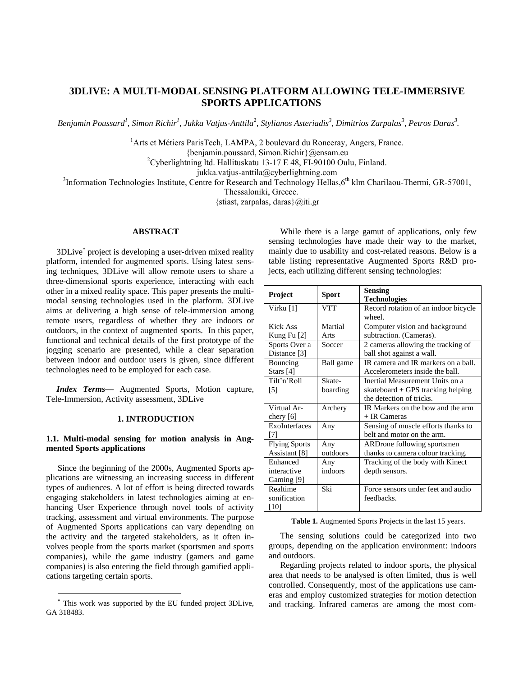# **3DLIVE: A MULTI-MODAL SENSING PLATFORM ALLOWING TELE-IMMERSIVE SPORTS APPLICATIONS**

Benjamin Poussard<sup>1</sup>, Simon Richir<sup>1</sup>, Jukka Vatjus-Anttila<sup>2</sup>, Stylianos Asteriadis<sup>3</sup>, Dimitrios Zarpalas<sup>3</sup>, Petros Daras<sup>3</sup>.

<sup>1</sup>Arts et Métiers ParisTech, LAMPA, 2 boulevard du Ronceray, Angers, France.

{benjamin.poussard, Simon.Richir}@ensam.eu

<sup>2</sup>Cyberlightning ltd. Hallituskatu 13-17 E 48, FI-90100 Oulu, Finland.

jukka.vatjus-anttila@cyberlightning.com

<sup>3</sup>Information Technologies Institute, Centre for Research and Technology Hellas, 6<sup>th</sup> klm Charilaou-Thermi, GR-57001,

Thessaloniki, Greece.

{stiast, zarpalas, daras}@iti.gr

# **ABSTRACT**

3DLive project is developing a user-driven mixed reality platform, intended for augmented sports. Using latest sensing techniques, 3DLive will allow remote users to share a three-dimensional sports experience, interacting with each other in a mixed reality space. This paper presents the multimodal sensing technologies used in the platform. 3DLive aims at delivering a high sense of tele-immersion among remote users, regardless of whether they are indoors or outdoors, in the context of augmented sports. In this paper, functional and technical details of the first prototype of the jogging scenario are presented, while a clear separation between indoor and outdoor users is given, since different technologies need to be employed for each case.

*Index Terms—* Augmented Sports, Motion capture, Tele-Immersion, Activity assessment, 3DLive

# **1. INTRODUCTION**

# **1.1. Multi-modal sensing for motion analysis in Augmented Sports applications**

Since the beginning of the 2000s, Augmented Sports applications are witnessing an increasing success in different types of audiences. A lot of effort is being directed towards engaging stakeholders in latest technologies aiming at enhancing User Experience through novel tools of activity tracking, assessment and virtual environments. The purpose of Augmented Sports applications can vary depending on the activity and the targeted stakeholders, as it often involves people from the sports market (sportsmen and sports companies), while the game industry (gamers and game companies) is also entering the field through gamified applications targeting certain sports.

 $\overline{a}$ 

While there is a large gamut of applications, only few sensing technologies have made their way to the market, mainly due to usability and cost-related reasons. Below is a table listing representative Augmented Sports R&D projects, each utilizing different sensing technologies:

| Project                               | <b>Sport</b>       | <b>Sensing</b><br><b>Technologies</b>                                                            |
|---------------------------------------|--------------------|--------------------------------------------------------------------------------------------------|
| Virku [1]                             | <b>VTT</b>         | Record rotation of an indoor bicycle<br>wheel.                                                   |
| Kick Ass<br>Kung Fu $[2]$             | Martial<br>Arts    | Computer vision and background<br>subtraction. (Cameras).                                        |
| Sports Over a<br>Distance [3]         | Soccer             | 2 cameras allowing the tracking of<br>ball shot against a wall.                                  |
| Bouncing<br>Stars $[4]$               | Ball game          | IR camera and IR markers on a ball.<br>Accelerometers inside the ball.                           |
| Tilt'n'Roll<br>[5]                    | Skate-<br>boarding | Inertial Measurement Units on a<br>skateboard + GPS tracking helping<br>the detection of tricks. |
| Virtual Ar-<br>chery $[6]$            | Archery            | IR Markers on the bow and the arm<br>+ IR Cameras                                                |
| ExoInterfaces<br>171                  | Any                | Sensing of muscle efforts thanks to<br>belt and motor on the arm.                                |
| <b>Flying Sports</b><br>Assistant [8] | Any<br>outdoors    | ARDrone following sportsmen<br>thanks to camera colour tracking.                                 |
| Enhanced<br>interactive<br>Gaming [9] | Any<br>indoors     | Tracking of the body with Kinect<br>depth sensors.                                               |
| Realtime<br>sonification<br>[10]      | Ski                | Force sensors under feet and audio<br>feedbacks.                                                 |

**Table 1.** Augmented Sports Projects in the last 15 years.

The sensing solutions could be categorized into two groups, depending on the application environment: indoors and outdoors.

Regarding projects related to indoor sports, the physical area that needs to be analysed is often limited, thus is well controlled. Consequently, most of the applications use cameras and employ customized strategies for motion detection and tracking. Infrared cameras are among the most com-

This work was supported by the EU funded project 3DLive, GA 318483.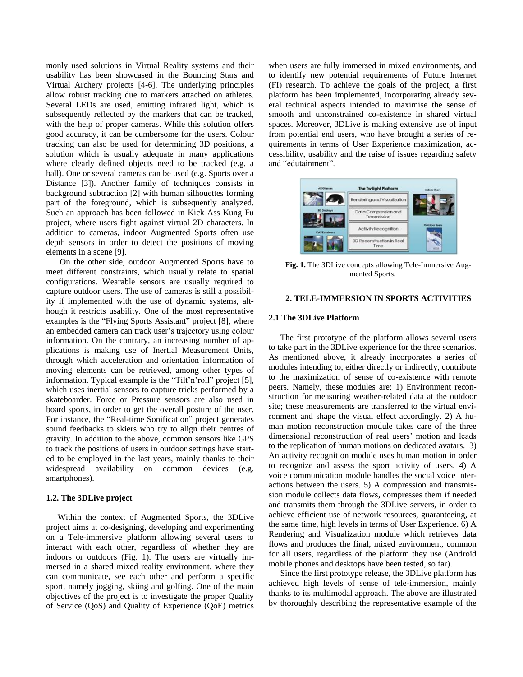monly used solutions in Virtual Reality systems and their usability has been showcased in the Bouncing Stars and Virtual Archery projects [4-6]. The underlying principles allow robust tracking due to markers attached on athletes. Several LEDs are used, emitting infrared light, which is subsequently reflected by the markers that can be tracked, with the help of proper cameras. While this solution offers good accuracy, it can be cumbersome for the users. Colour tracking can also be used for determining 3D positions, a solution which is usually adequate in many applications where clearly defined objects need to be tracked (e.g. a ball). One or several cameras can be used (e.g. Sports over a Distance [3]). Another family of techniques consists in background subtraction [2] with human silhouettes forming part of the foreground, which is subsequently analyzed. Such an approach has been followed in Kick Ass Kung Fu project, where users fight against virtual 2D characters. In addition to cameras, indoor Augmented Sports often use depth sensors in order to detect the positions of moving elements in a scene [9].

On the other side, outdoor Augmented Sports have to meet different constraints, which usually relate to spatial configurations. Wearable sensors are usually required to capture outdoor users. The use of cameras is still a possibility if implemented with the use of dynamic systems, although it restricts usability. One of the most representative examples is the "Flying Sports Assistant" project [8], where an embedded camera can track user's trajectory using colour information. On the contrary, an increasing number of applications is making use of Inertial Measurement Units, through which acceleration and orientation information of moving elements can be retrieved, among other types of information. Typical example is the "Tilt'n'roll" project [5], which uses inertial sensors to capture tricks performed by a skateboarder. Force or Pressure sensors are also used in board sports, in order to get the overall posture of the user. For instance, the "Real-time Sonification" project generates sound feedbacks to skiers who try to align their centres of gravity. In addition to the above, common sensors like GPS to track the positions of users in outdoor settings have started to be employed in the last years, mainly thanks to their widespread availability on common devices (e.g. smartphones).

### **1.2. The 3DLive project**

Within the context of Augmented Sports, the 3DLive project aims at co-designing, developing and experimenting on a Tele-immersive platform allowing several users to interact with each other, regardless of whether they are indoors or outdoors (Fig. 1). The users are virtually immersed in a shared mixed reality environment, where they can communicate, see each other and perform a specific sport, namely jogging, skiing and golfing. One of the main objectives of the project is to investigate the proper Quality of Service (QoS) and Quality of Experience (QoE) metrics

when users are fully immersed in mixed environments, and to identify new potential requirements of Future Internet (FI) research. To achieve the goals of the project, a first platform has been implemented, incorporating already several technical aspects intended to maximise the sense of smooth and unconstrained co-existence in shared virtual spaces. Moreover, 3DLive is making extensive use of input from potential end users, who have brought a series of requirements in terms of User Experience maximization, accessibility, usability and the raise of issues regarding safety and "edutainment".



**Fig. 1.** The 3DLive concepts allowing Tele-Immersive Augmented Sports.

#### **2. TELE-IMMERSION IN SPORTS ACTIVITIES**

#### **2.1 The 3DLive Platform**

The first prototype of the platform allows several users to take part in the 3DLive experience for the three scenarios. As mentioned above, it already incorporates a series of modules intending to, either directly or indirectly, contribute to the maximization of sense of co-existence with remote peers. Namely, these modules are: 1) Environment reconstruction for measuring weather-related data at the outdoor site; these measurements are transferred to the virtual environment and shape the visual effect accordingly. 2) A human motion reconstruction module takes care of the three dimensional reconstruction of real users' motion and leads to the replication of human motions on dedicated avatars. 3) An activity recognition module uses human motion in order to recognize and assess the sport activity of users. 4) A voice communication module handles the social voice interactions between the users. 5) A compression and transmission module collects data flows, compresses them if needed and transmits them through the 3DLive servers, in order to achieve efficient use of network resources, guaranteeing, at the same time, high levels in terms of User Experience. 6) A Rendering and Visualization module which retrieves data flows and produces the final, mixed environment, common for all users, regardless of the platform they use (Android mobile phones and desktops have been tested, so far).

Since the first prototype release, the 3DLive platform has achieved high levels of sense of tele-immersion, mainly thanks to its multimodal approach. The above are illustrated by thoroughly describing the representative example of the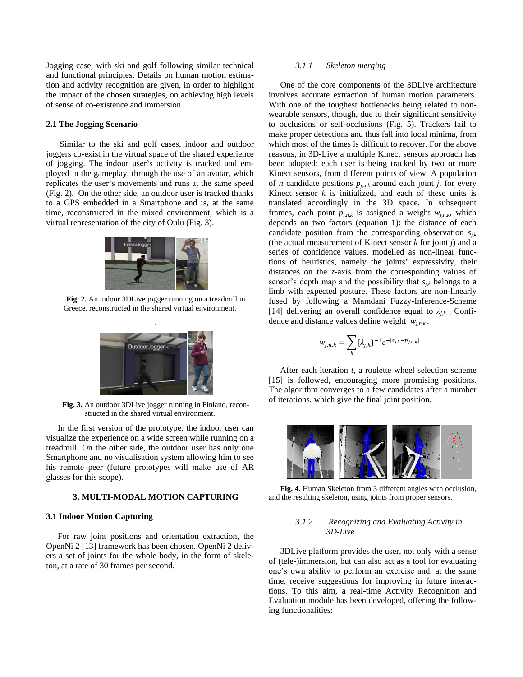Jogging case, with ski and golf following similar technical and functional principles. Details on human motion estimation and activity recognition are given, in order to highlight the impact of the chosen strategies, on achieving high levels of sense of co-existence and immersion.

## **2.1 The Jogging Scenario**

Similar to the ski and golf cases, indoor and outdoor joggers co-exist in the virtual space of the shared experience of jogging. The indoor user's activity is tracked and employed in the gameplay, through the use of an avatar, which replicates the user's movements and runs at the same speed (Fig. 2). On the other side, an outdoor user is tracked thanks to a GPS embedded in a Smartphone and is, at the same time, reconstructed in the mixed environment, which is a virtual representation of the city of Oulu (Fig. 3).



**Fig. 2.** An indoor 3DLive jogger running on a treadmill in Greece, reconstructed in the shared virtual environment.



**Fig. 3.** An outdoor 3DLive jogger running in Finland, reconstructed in the shared virtual environment.

In the first version of the prototype, the indoor user can visualize the experience on a wide screen while running on a treadmill. On the other side, the outdoor user has only one Smartphone and no visualisation system allowing him to see his remote peer (future prototypes will make use of AR glasses for this scope).

### **3. MULTI-MODAL MOTION CAPTURING**

#### **3.1 Indoor Motion Capturing**

For raw joint positions and orientation extraction, the OpenNi 2 [\[13\]](#page-4-0) framework has been chosen. OpenNi 2 delivers a set of joints for the whole body, in the form of skeleton, at a rate of 30 frames per second.

### *3.1.1 Skeleton merging*

One of the core components of the 3DLive architecture involves accurate extraction of human motion parameters. With one of the toughest bottlenecks being related to nonwearable sensors, though, due to their significant sensitivity to occlusions or self-occlusions (Fig. 5). Trackers fail to make proper detections and thus fall into local minima, from which most of the times is difficult to recover. For the above reasons, in 3D-Live a multiple Kinect sensors approach has been adopted: each user is being tracked by two or more Kinect sensors, from different points of view. A population of *n* candidate positions  $p_{j,n,k}$  around each joint *j*, for every Kinect sensor *k* is initialized, and each of these units is translated accordingly in the 3D space. In subsequent frames, each point  $p_{i,n,k}$  is assigned a weight  $w_{i,n,k}$ , which depends on two factors (equation 1): the distance of each candidate position from the corresponding observation *sj,k* (the actual measurement of Kinect sensor *k* for joint *j*) and a series of confidence values, modelled as non-linear functions of heuristics, namely the joints' expressivity, their distances on the *z*-axis from the corresponding values of sensor's depth map and the possibility that  $s_{i,k}$  belongs to a limb with expected posture. These factors are non-linearly fused by following a Mamdani Fuzzy-Inference-Scheme [\[14\]](#page-4-1) delivering an overall confidence equal to  $\lambda_{i,k}$ . Confidence and distance values define weight *wj,n,k* :

$$
w_{j,n,k} = \sum_{k} \{\lambda_{j,k}\}^{-1} e^{-|S_{j,k} - p_{j,n,k}|}
$$

After each iteration *t,* a roulette wheel selection scheme [\[15\]](#page-4-2) is followed, encouraging more promising positions. The algorithm converges to a few candidates after a number of iterations, which give the final joint position.



**Fig. 4.** Human Skeleton from 3 different angles with occlusion, and the resulting skeleton, using joints from proper sensors.

# *3.1.2 Recognizing and Evaluating Activity in 3D-Live*

3DLive platform provides the user, not only with a sense of (tele-)immersion, but can also act as a tool for evaluating one's own ability to perform an exercise and, at the same time, receive suggestions for improving in future interactions. To this aim, a real-time Activity Recognition and Evaluation module has been developed, offering the following functionalities: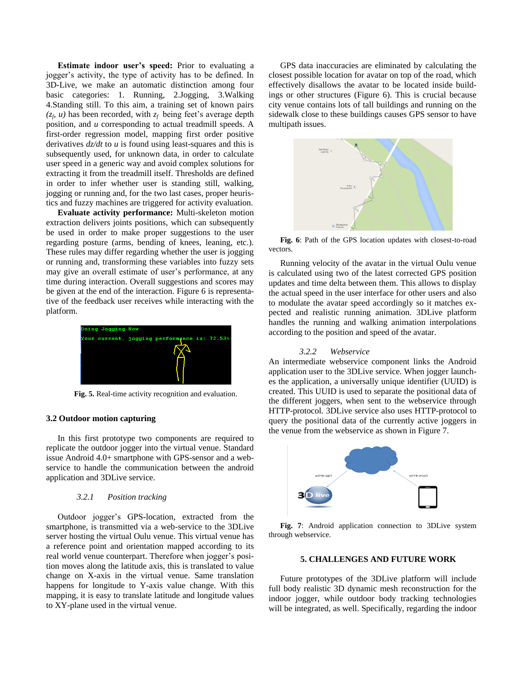**Estimate indoor user's speed:** Prior to evaluating a jogger's activity, the type of activity has to be defined. In 3D-Live, we make an automatic distinction among four basic categories: 1. Running, 2.Jogging, 3.Walking 4.Standing still. To this aim, a training set of known pairs  $(z_f, u)$  has been recorded, with  $z_f$  being feet's average depth position, and *u* corresponding to actual treadmill speeds. A first-order regression model, mapping first order positive derivatives *dz/dt* to *u* is found using least-squares and this is subsequently used, for unknown data, in order to calculate user speed in a generic way and avoid complex solutions for extracting it from the treadmill itself. Thresholds are defined in order to infer whether user is standing still, walking, jogging or running and, for the two last cases, proper heuristics and fuzzy machines are triggered for activity evaluation.

**Evaluate activity performance:** Multi-skeleton motion extraction delivers joints positions, which can subsequently be used in order to make proper suggestions to the user regarding posture (arms, bending of knees, leaning, etc.). These rules may differ regarding whether the user is jogging or running and, transforming these variables into fuzzy sets may give an overall estimate of user's performance, at any time during interaction. Overall suggestions and scores may be given at the end of the interaction. Figure 6 is representative of the feedback user receives while interacting with the platform.



**Fig. 5.** Real-time activity recognition and evaluation.

#### **3.2 Outdoor motion capturing**

In this first prototype two components are required to replicate the outdoor jogger into the virtual venue. Standard issue Android 4.0+ smartphone with GPS-sensor and a webservice to handle the communication between the android application and 3DLive service.

# *3.2.1 Position tracking*

Outdoor jogger's GPS-location, extracted from the smartphone, is transmitted via a web-service to the 3DLive server hosting the virtual Oulu venue. This virtual venue has a reference point and orientation mapped according to its real world venue counterpart. Therefore when jogger's position moves along the latitude axis, this is translated to value change on X-axis in the virtual venue. Same translation happens for longitude to Y-axis value change. With this mapping, it is easy to translate latitude and longitude values to XY-plane used in the virtual venue.

GPS data inaccuracies are eliminated by calculating the closest possible location for avatar on top of the road, which effectively disallows the avatar to be located inside buildings or other structures (Figure 6). This is crucial because city venue contains lots of tall buildings and running on the sidewalk close to these buildings causes GPS sensor to have multipath issues.



**Fig. 6**: Path of the GPS location updates with closest-to-road vectors.

Running velocity of the avatar in the virtual Oulu venue is calculated using two of the latest corrected GPS position updates and time delta between them. This allows to display the actual speed in the user interface for other users and also to modulate the avatar speed accordingly so it matches expected and realistic running animation. 3DLive platform handles the running and walking animation interpolations according to the position and speed of the avatar.

#### *3.2.2 Webservice*

An intermediate webservice component links the Android application user to the 3DLive service. When jogger launches the application, a universally unique identifier (UUID) is created. This UUID is used to separate the positional data of the different joggers, when sent to the webservice through HTTP-protocol. 3DLive service also uses HTTP-protocol to query the positional data of the currently active joggers in the venue from the webservice as shown in Figure 7.



**Fig. 7**: Android application connection to 3DLive system through webservice.

#### **5. CHALLENGES AND FUTURE WORK**

Future prototypes of the 3DLive platform will include full body realistic 3D dynamic mesh reconstruction for the indoor jogger, while outdoor body tracking technologies will be integrated, as well. Specifically, regarding the indoor